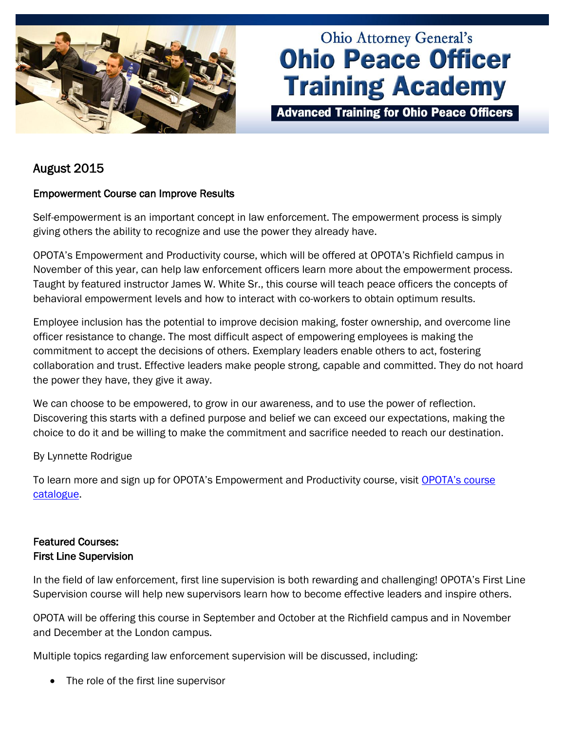

# **Ohio Attorney General's Ohio Peace Officer Training Academy**

**Advanced Training for Ohio Peace Officers** 

# August 2015

# Empowerment Course can Improve Results

Self-empowerment is an important concept in law enforcement. The empowerment process is simply giving others the ability to recognize and use the power they already have.

OPOTA's Empowerment and Productivity course, which will be offered at OPOTA's Richfield campus in November of this year, can help law enforcement officers learn more about the empowerment process. Taught by featured instructor James W. White Sr., this course will teach peace officers the concepts of behavioral empowerment levels and how to interact with co-workers to obtain optimum results.

Employee inclusion has the potential to improve decision making, foster ownership, and overcome line officer resistance to change. The most difficult aspect of empowering employees is making the commitment to accept the decisions of others. Exemplary leaders enable others to act, fostering collaboration and trust. Effective leaders make people strong, capable and committed. They do not hoard the power they have, they give it away.

We can choose to be empowered, to grow in our awareness, and to use the power of reflection. Discovering this starts with a defined purpose and belief we can exceed our expectations, making the choice to do it and be willing to make the commitment and sacrifice needed to reach our destination.

By Lynnette Rodrigue

To learn more and sign up for OPOTA's Empowerment and Productivity course, visit [OPOTA's course](http://www.ohioattorneygeneral.gov/Law-Enforcement/Ohio-Peace-Officer-Training-Academy/Course-Catalog.aspx)  [catalogue.](http://www.ohioattorneygeneral.gov/Law-Enforcement/Ohio-Peace-Officer-Training-Academy/Course-Catalog.aspx)

# Featured Courses: First Line Supervision

In the field of law enforcement, first line supervision is both rewarding and challenging! OPOTA's First Line Supervision course will help new supervisors learn how to become effective leaders and inspire others.

OPOTA will be offering this course in September and October at the Richfield campus and in November and December at the London campus.

Multiple topics regarding law enforcement supervision will be discussed, including:

The role of the first line supervisor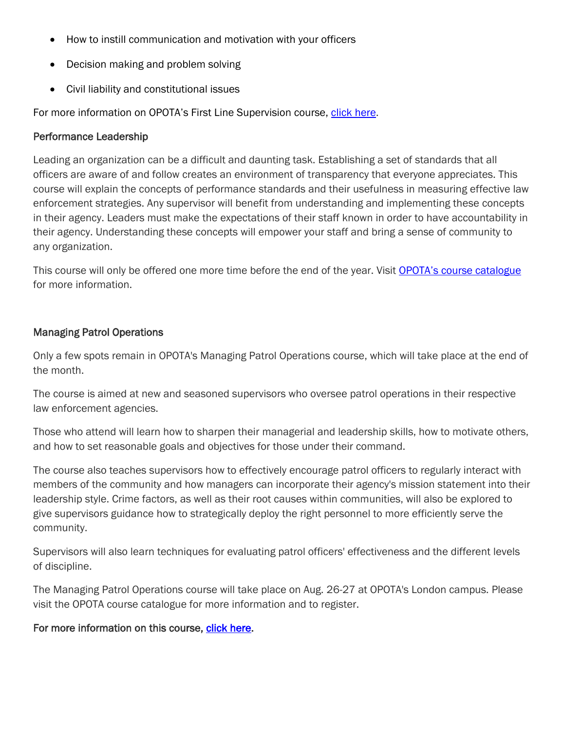- How to instill communication and motivation with your officers
- Decision making and problem solving
- Civil liability and constitutional issues

For more information on OPOTA's First Line Supervision course, [click here.](http://www.ohioattorneygeneral.gov/Law-Enforcement/Ohio-Peace-Officer-Training-Academy/Course-Catalog/Course-Categories/Management-Courses)

## Performance Leadership

Leading an organization can be a difficult and daunting task. Establishing a set of standards that all officers are aware of and follow creates an environment of transparency that everyone appreciates. This course will explain the concepts of performance standards and their usefulness in measuring effective law enforcement strategies. Any supervisor will benefit from understanding and implementing these concepts in their agency. Leaders must make the expectations of their staff known in order to have accountability in their agency. Understanding these concepts will empower your staff and bring a sense of community to any organization.

This course will only be offered one more time before the end of the year. Visit [OPOTA's course catalogue](http://www.ohioattorneygeneral.gov/Law-Enforcement/Ohio-Peace-Officer-Training-Academy/Course-Catalog/Course-Categories/Management-Courses) for more information.

## Managing Patrol Operations

Only a few spots remain in OPOTA's Managing Patrol Operations course, which will take place at the end of the month.

The course is aimed at new and seasoned supervisors who oversee patrol operations in their respective law enforcement agencies.

Those who attend will learn how to sharpen their managerial and leadership skills, how to motivate others, and how to set reasonable goals and objectives for those under their command.

The course also teaches supervisors how to effectively encourage patrol officers to regularly interact with members of the community and how managers can incorporate their agency's mission statement into their leadership style. Crime factors, as well as their root causes within communities, will also be explored to give supervisors guidance how to strategically deploy the right personnel to more efficiently serve the community.

Supervisors will also learn techniques for evaluating patrol officers' effectiveness and the different levels of discipline.

The Managing Patrol Operations course will take place on Aug. 26-27 at OPOTA's London campus. Please visit the OPOTA course catalogue for more information and to register.

For more information on this course, [click here.](http://www.ohioattorneygeneral.gov/Law-Enforcement/Ohio-Peace-Officer-Training-Academy/Course-Catalog/Course-Search.aspx?searchtext=managing&searchmode=anyword)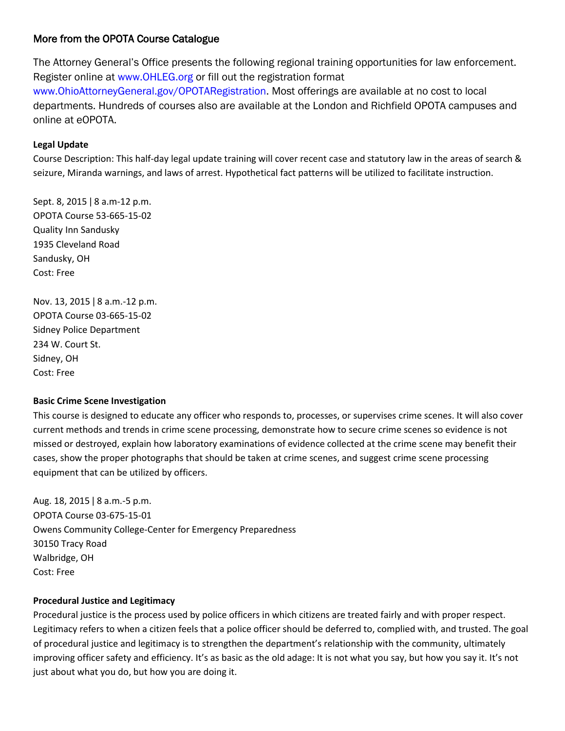## More from the OPOTA Course Catalogue

The Attorney General's Office presents the following regional training opportunities for law enforcement. Register online at www.OHLEG.org or fill out the registration format www.OhioAttorneyGeneral.gov/OPOTARegistration. Most offerings are available at no cost to local departments. Hundreds of courses also are available at the London and Richfield OPOTA campuses and online at eOPOTA.

#### **Legal Update**

Course Description: This half-day legal update training will cover recent case and statutory law in the areas of search & seizure, Miranda warnings, and laws of arrest. Hypothetical fact patterns will be utilized to facilitate instruction.

Sept. 8, 2015 | 8 a.m-12 p.m. OPOTA Course 53-665-15-02 Quality Inn Sandusky 1935 Cleveland Road Sandusky, OH Cost: Free

Nov. 13, 2015 ǀ 8 a.m.-12 p.m. OPOTA Course 03-665-15-02 Sidney Police Department 234 W. Court St. Sidney, OH Cost: Free

#### **Basic Crime Scene Investigation**

This course is designed to educate any officer who responds to, processes, or supervises crime scenes. It will also cover current methods and trends in crime scene processing, demonstrate how to secure crime scenes so evidence is not missed or destroyed, explain how laboratory examinations of evidence collected at the crime scene may benefit their cases, show the proper photographs that should be taken at crime scenes, and suggest crime scene processing equipment that can be utilized by officers.

Aug. 18, 2015 ǀ 8 a.m.-5 p.m. OPOTA Course 03-675-15-01 Owens Community College-Center for Emergency Preparedness 30150 Tracy Road Walbridge, OH Cost: Free

#### **Procedural Justice and Legitimacy**

Procedural justice is the process used by police officers in which citizens are treated fairly and with proper respect. Legitimacy refers to when a citizen feels that a police officer should be deferred to, complied with, and trusted. The goal of procedural justice and legitimacy is to strengthen the department's relationship with the community, ultimately improving officer safety and efficiency. It's as basic as the old adage: It is not what you say, but how you say it. It's not just about what you do, but how you are doing it.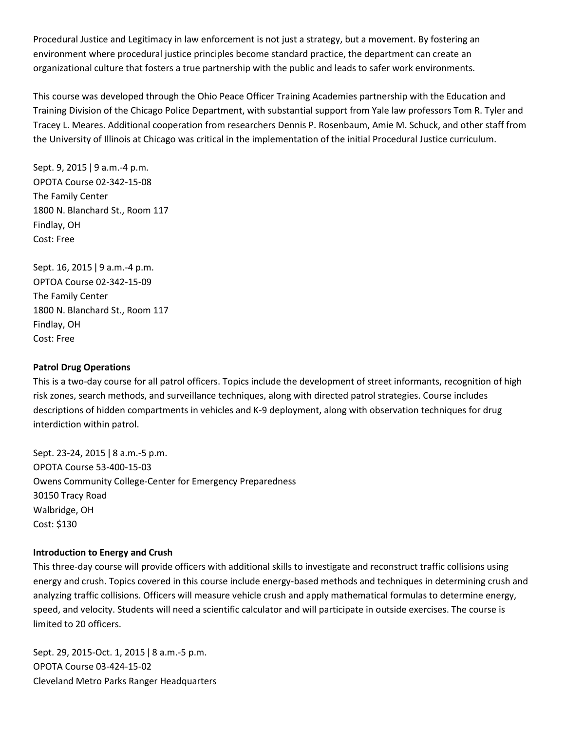Procedural Justice and Legitimacy in law enforcement is not just a strategy, but a movement. By fostering an environment where procedural justice principles become standard practice, the department can create an organizational culture that fosters a true partnership with the public and leads to safer work environments.

This course was developed through the Ohio Peace Officer Training Academies partnership with the Education and Training Division of the Chicago Police Department, with substantial support from Yale law professors Tom R. Tyler and Tracey L. Meares. Additional cooperation from researchers Dennis P. Rosenbaum, Amie M. Schuck, and other staff from the University of Illinois at Chicago was critical in the implementation of the initial Procedural Justice curriculum.

Sept. 9, 2015 | 9 a.m. -4 p.m. OPOTA Course 02-342-15-08 The Family Center 1800 N. Blanchard St., Room 117 Findlay, OH Cost: Free

Sept. 16, 2015 | 9 a.m. -4 p.m. OPTOA Course 02-342-15-09 The Family Center 1800 N. Blanchard St., Room 117 Findlay, OH Cost: Free

#### **Patrol Drug Operations**

This is a two-day course for all patrol officers. Topics include the development of street informants, recognition of high risk zones, search methods, and surveillance techniques, along with directed patrol strategies. Course includes descriptions of hidden compartments in vehicles and K-9 deployment, along with observation techniques for drug interdiction within patrol.

Sept. 23-24, 2015 ǀ 8 a.m.-5 p.m. OPOTA Course 53-400-15-03 Owens Community College-Center for Emergency Preparedness 30150 Tracy Road Walbridge, OH Cost: \$130

#### **Introduction to Energy and Crush**

This three-day course will provide officers with additional skills to investigate and reconstruct traffic collisions using energy and crush. Topics covered in this course include energy-based methods and techniques in determining crush and analyzing traffic collisions. Officers will measure vehicle crush and apply mathematical formulas to determine energy, speed, and velocity. Students will need a scientific calculator and will participate in outside exercises. The course is limited to 20 officers.

Sept. 29, 2015-Oct. 1, 2015 ǀ 8 a.m.-5 p.m. OPOTA Course 03-424-15-02 Cleveland Metro Parks Ranger Headquarters